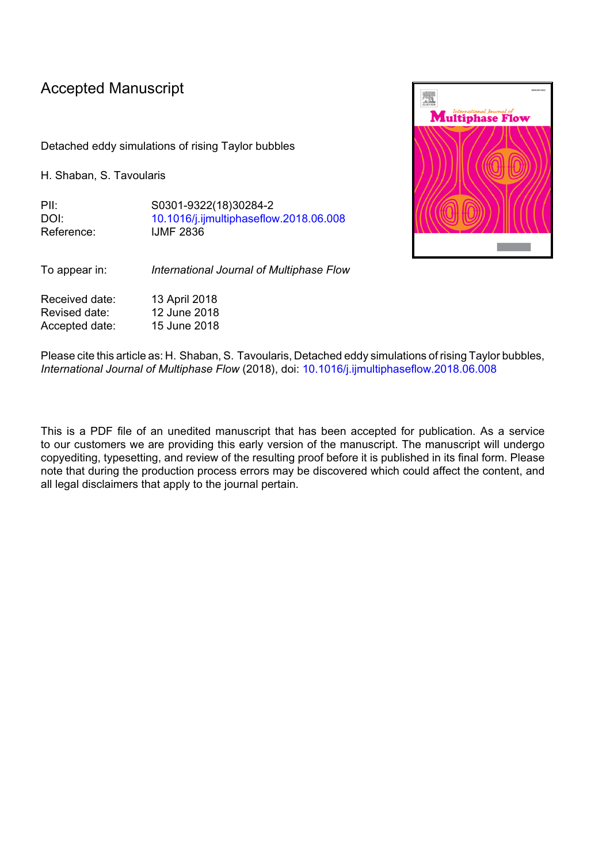## Accepted Manuscript

Detached eddy simulations of rising Taylor bubbles

H. Shaban, S. Tavoularis

PII: S0301-9322(18)30284-2 DOI: [10.1016/j.ijmultiphaseflow.2018.06.008](https://doi.org/10.1016/j.ijmultiphaseflow.2018.06.008) Reference: IJMF 2836



To appear in: *International Journal of Multiphase Flow*

Received date: 13 April 2018 Revised date: 12 June 2018 Accepted date: 15 June 2018

Please cite this article as: H. Shaban, S. Tavoularis, Detached eddy simulations of rising Taylor bubbles, *International Journal of Multiphase Flow* (2018), doi: [10.1016/j.ijmultiphaseflow.2018.06.008](https://doi.org/10.1016/j.ijmultiphaseflow.2018.06.008)

This is a PDF file of an unedited manuscript that has been accepted for publication. As a service to our customers we are providing this early version of the manuscript. The manuscript will undergo copyediting, typesetting, and review of the resulting proof before it is published in its final form. Please note that during the production process errors may be discovered which could affect the content, and all legal disclaimers that apply to the journal pertain.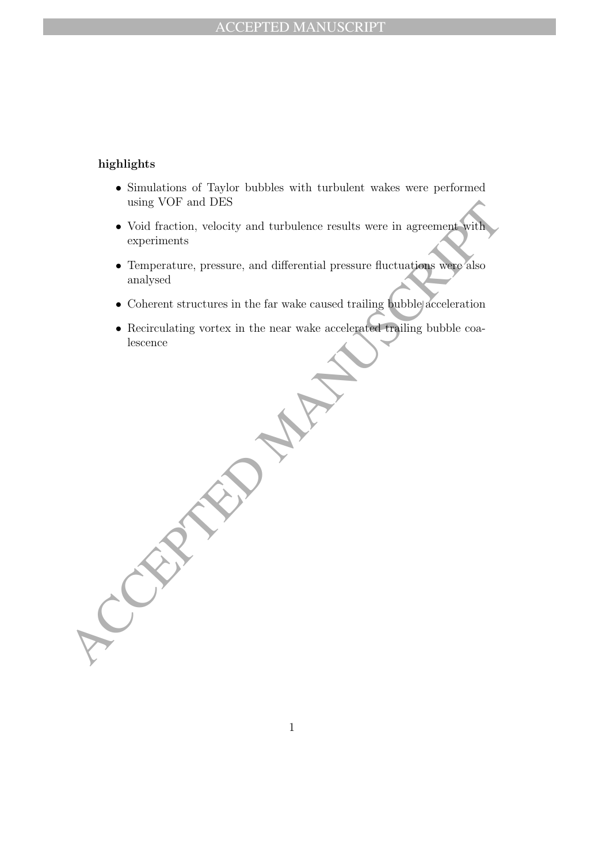## highlights

- Simulations of Taylor bubbles with turbulent wakes were performed using VOF and DES
- Using VOF and DES<br>
Void fraction, velocity and turbulence results were in agreement with<br>
experiments<br>
experiments<br>
Temperature, pressure, and differential pressure fluctuations wave also<br>
analysed<br>
 Coherent structures i • Void fraction, velocity and turbulence results were in agreement with experiments
	- Temperature, pressure, and differential pressure fluctuations were also analysed
	- Coherent structures in the far wake caused trailing bubble acceleration
	- Recirculating vortex in the near wake accelerated trailing bubble coalescence